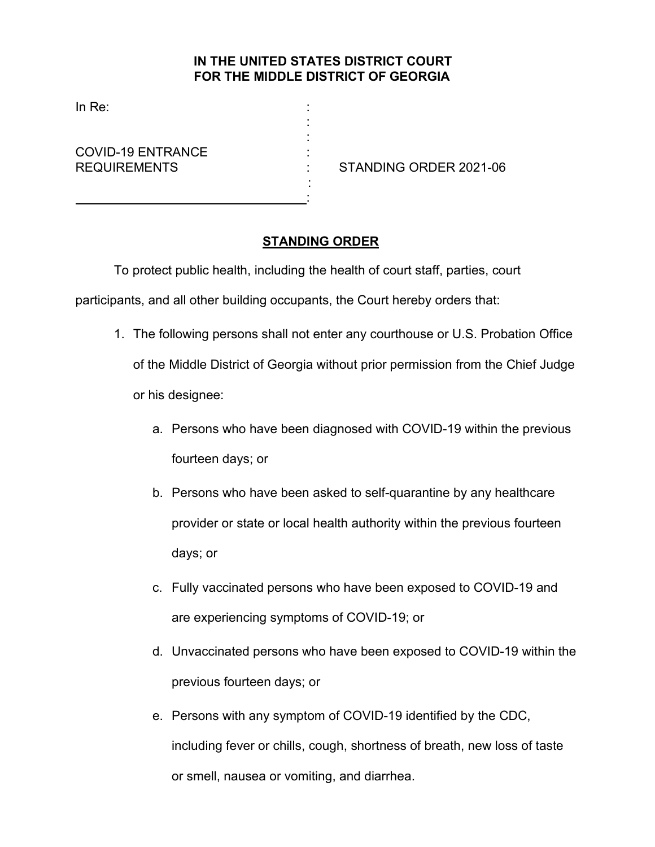## **IN THE UNITED STATES DISTRICT COURT FOR THE MIDDLE DISTRICT OF GEORGIA**

: :

 : :

In Re:

COVID-19 ENTRANCE :

REQUIREMENTS : STANDING ORDER 2021-06

## **STANDING ORDER**

To protect public health, including the health of court staff, parties, court

participants, and all other building occupants, the Court hereby orders that:

- 1. The following persons shall not enter any courthouse or U.S. Probation Office of the Middle District of Georgia without prior permission from the Chief Judge or his designee:
	- a. Persons who have been diagnosed with COVID-19 within the previous fourteen days; or
	- b. Persons who have been asked to self-quarantine by any healthcare provider or state or local health authority within the previous fourteen days; or
	- c. Fully vaccinated persons who have been exposed to COVID-19 and are experiencing symptoms of COVID-19; or
	- d. Unvaccinated persons who have been exposed to COVID-19 within the previous fourteen days; or
	- e. Persons with any symptom of COVID-19 identified by the CDC, including fever or chills, cough, shortness of breath, new loss of taste or smell, nausea or vomiting, and diarrhea.